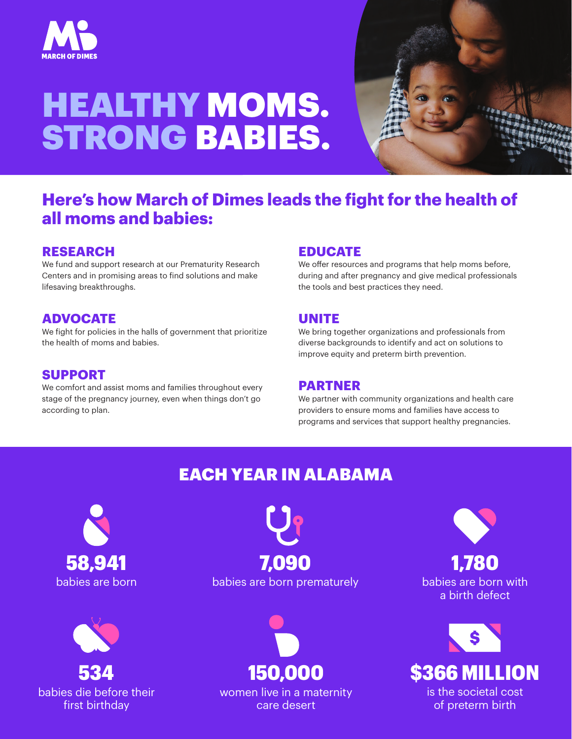

# HEALTHY MOMS. STRONG BABIES.



## **Here's how March of Dimes leads the fight for the health of all moms and babies:**

#### **RESEARCH**

We fund and support research at our Prematurity Research Centers and in promising areas to find solutions and make lifesaving breakthroughs.

#### **ADVOCATE**

We fight for policies in the halls of government that prioritize the health of moms and babies.

#### **SUPPORT**

We comfort and assist moms and families throughout every stage of the pregnancy journey, even when things don't go according to plan.

#### **EDUCATE**

We offer resources and programs that help moms before, during and after pregnancy and give medical professionals the tools and best practices they need.

#### **UNITE**

We bring together organizations and professionals from diverse backgrounds to identify and act on solutions to improve equity and preterm birth prevention.

#### **PARTNER**

We partner with community organizations and health care providers to ensure moms and families have access to programs and services that support healthy pregnancies.

## EACH YEAR IN ALABAMA





babies are born babies are born prematurely 58,941 7,090



women live in a maternity care desert

babies are born with a birth defect 1,780



of preterm birth